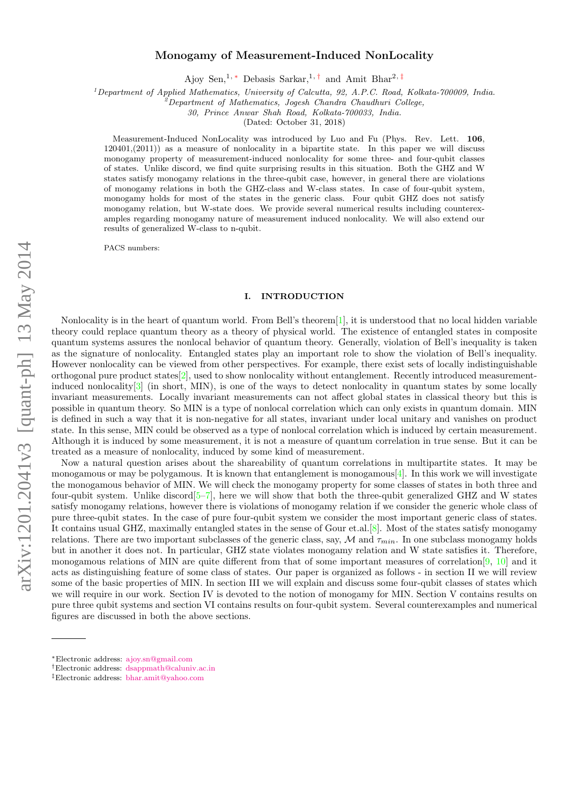# Monogamy of Measurement-Induced NonLocality

Ajoy Sen,<sup>1,\*</sup> Debasis Sarkar,<sup>1,[†](#page-0-1)</sup> and Amit Bhar<sup>2,[‡](#page-0-2)</sup>

 $1$  Department of Applied Mathematics, University of Calcutta, 92, A.P.C. Road, Kolkata-700009, India.

<sup>2</sup>Department of Mathematics, Jogesh Chandra Chaudhuri College,

30, Prince Anwar Shah Road, Kolkata-700033, India.

(Dated: October 31, 2018)

Measurement-Induced NonLocality was introduced by Luo and Fu (Phys. Rev. Lett. 106, 120401,(2011)) as a measure of nonlocality in a bipartite state. In this paper we will discuss monogamy property of measurement-induced nonlocality for some three- and four-qubit classes of states. Unlike discord, we find quite surprising results in this situation. Both the GHZ and W states satisfy monogamy relations in the three-qubit case, however, in general there are violations of monogamy relations in both the GHZ-class and W-class states. In case of four-qubit system, monogamy holds for most of the states in the generic class. Four qubit GHZ does not satisfy monogamy relation, but W-state does. We provide several numerical results including counterexamples regarding monogamy nature of measurement induced nonlocality. We will also extend our results of generalized W-class to n-qubit.

PACS numbers:

## I. INTRODUCTION

Nonlocality is in the heart of quantum world. From Bell's theorem[\[1\]](#page-6-0), it is understood that no local hidden variable theory could replace quantum theory as a theory of physical world. The existence of entangled states in composite quantum systems assures the nonlocal behavior of quantum theory. Generally, violation of Bell's inequality is taken as the signature of nonlocality. Entangled states play an important role to show the violation of Bell's inequality. However nonlocality can be viewed from other perspectives. For example, there exist sets of locally indistinguishable orthogonal pure product states[\[2\]](#page-6-1), used to show nonlocality without entanglement. Recently introduced measurementinduced nonlocality[\[3\]](#page-6-2) (in short, MIN), is one of the ways to detect nonlocality in quantum states by some locally invariant measurements. Locally invariant measurements can not affect global states in classical theory but this is possible in quantum theory. So MIN is a type of nonlocal correlation which can only exists in quantum domain. MIN is defined in such a way that it is non-negative for all states, invariant under local unitary and vanishes on product state. In this sense, MIN could be observed as a type of nonlocal correlation which is induced by certain measurement. Although it is induced by some measurement, it is not a measure of quantum correlation in true sense. But it can be treated as a measure of nonlocality, induced by some kind of measurement.

Now a natural question arises about the shareability of quantum correlations in multipartite states. It may be monogamous or may be polygamous. It is known that entanglement is monogamous  $[4]$ . In this work we will investigate the monogamous behavior of MIN. We will check the monogamy property for some classes of states in both three and four-qubit system. Unlike discord[\[5–](#page-6-4)[7\]](#page-6-5), here we will show that both the three-qubit generalized GHZ and W states satisfy monogamy relations, however there is violations of monogamy relation if we consider the generic whole class of pure three-qubit states. In the case of pure four-qubit system we consider the most important generic class of states. It contains usual GHZ, maximally entangled states in the sense of Gour et.al.[\[8\]](#page-6-6). Most of the states satisfy monogamy relations. There are two important subclasses of the generic class, say, M and  $\tau_{min}$ . In one subclass monogamy holds but in another it does not. In particular, GHZ state violates monogamy relation and W state satisfies it. Therefore, monogamous relations of MIN are quite different from that of some important measures of correlation[\[9,](#page-6-7) [10\]](#page-6-8) and it acts as distinguishing feature of some class of states. Our paper is organized as follows - in section II we will review some of the basic properties of MIN. In section III we will explain and discuss some four-qubit classes of states which we will require in our work. Section IV is devoted to the notion of monogamy for MIN. Section V contains results on pure three qubit systems and section VI contains results on four-qubit system. Several counterexamples and numerical figures are discussed in both the above sections.

<span id="page-0-0"></span><sup>∗</sup>Electronic address: [ajoy.sn@gmail.com](mailto:ajoy.sn@gmail.com)

<span id="page-0-1"></span><sup>†</sup>Electronic address: [dsappmath@caluniv.ac.in](mailto:dsappmath@caluniv.ac.in)

<span id="page-0-2"></span><sup>‡</sup>Electronic address: [bhar.amit@yahoo.com](mailto:bhar.amit@yahoo.com)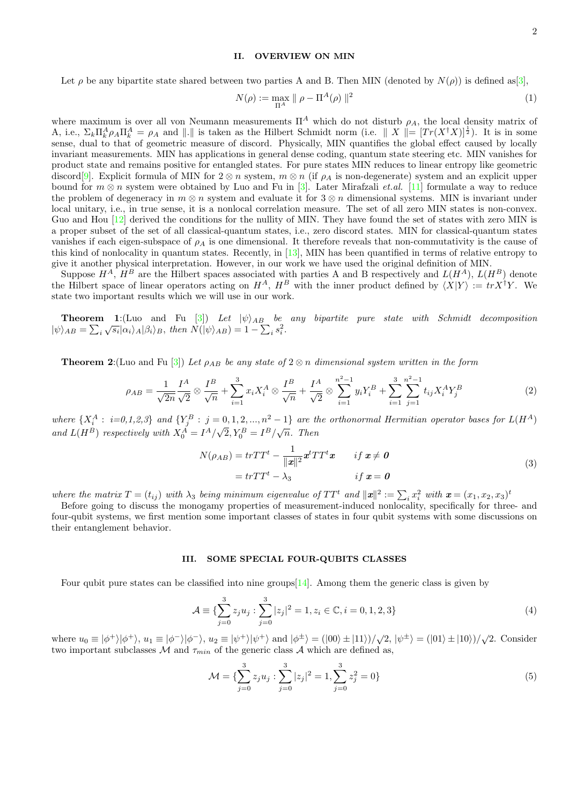### II. OVERVIEW ON MIN

$$
N(\rho) := \max_{\Pi^A} \parallel \rho - \Pi^A(\rho) \parallel^2
$$
 (1)

where maximum is over all von Neumann measurements  $\Pi^A$  which do not disturb  $\rho_A$ , the local density matrix of A, i.e.,  $\Sigma_k \Pi_k^A \rho_A \Pi_k^A = \rho_A$  and ||.|| is taken as the Hilbert Schmidt norm (i.e. || X ||=  $[Tr(X^{\dagger}X)]^{\frac{1}{2}}$ ). It is in some sense, dual to that of geometric measure of discord. Physically, MIN quantifies the global effect caused by locally invariant measurements. MIN has applications in general dense coding, quantum state steering etc. MIN vanishes for product state and remains positive for entangled states. For pure states MIN reduces to linear entropy like geometric discord[\[9\]](#page-6-7). Explicit formula of MIN for  $2 \otimes n$  system,  $m \otimes n$  (if  $\rho_A$  is non-degenerate) system and an explicit upper bound for  $m \otimes n$  system were obtained by Luo and Fu in [\[3\]](#page-6-2). Later Mirafzali *et.al.* [\[11\]](#page-6-9) formulate a way to reduce the problem of degeneracy in  $m \otimes n$  system and evaluate it for  $3 \otimes n$  dimensional systems. MIN is invariant under local unitary, i.e., in true sense, it is a nonlocal correlation measure. The set of all zero MIN states is non-convex. Guo and Hou [\[12\]](#page-6-10) derived the conditions for the nullity of MIN. They have found the set of states with zero MIN is a proper subset of the set of all classical-quantum states, i.e., zero discord states. MIN for classical-quantum states vanishes if each eigen-subspace of  $\rho_A$  is one dimensional. It therefore reveals that non-commutativity is the cause of this kind of nonlocality in quantum states. Recently, in [\[13\]](#page-6-11), MIN has been quantified in terms of relative entropy to give it another physical interpretation. However, in our work we have used the original definition of MIN.

Suppose  $H^A$ ,  $H^B$  are the Hilbert spaces associated with parties A and B respectively and  $L(H^A)$ ,  $L(H^B)$  denote the Hilbert space of linear operators acting on  $H^A$ ,  $H^B$  with the inner product defined by  $\langle X|Y \rangle := tr X^{\dagger}Y$ . We state two important results which we will use in our work.

**Theorem 1:**(Luo and Fu  $\begin{bmatrix}3\end{bmatrix}$ ) Let  $|\psi\rangle_{AB}$  be any bipartite pure state with Schmidt decomposition  $|\psi\rangle_{AB} = \sum_i \sqrt{s_i} |\alpha_i\rangle_A |\beta_i\rangle_B$ , then  $N(|\psi\rangle_{AB}) = 1 - \sum_i s_i^2$ .

**Theorem 2:**(Luo and Fu [\[3\]](#page-6-2)) Let  $\rho_{AB}$  be any state of 2  $\otimes$  n dimensional system written in the form

$$
\rho_{AB} = \frac{1}{\sqrt{2n}} \frac{I^A}{\sqrt{2}} \otimes \frac{I^B}{\sqrt{n}} + \sum_{i=1}^3 x_i X_i^A \otimes \frac{I^B}{\sqrt{n}} + \frac{I^A}{\sqrt{2}} \otimes \sum_{i=1}^{n^2-1} y_i Y_i^B + \sum_{i=1}^3 \sum_{j=1}^{n^2-1} t_{ij} X_i^A Y_j^B
$$
(2)

where  $\{X_i^A: i=0,1,2,3\}$  and  $\{Y_j^B: j=0,1,2,...,n^2-1\}$  are the orthonormal Hermitian operator bases for  $L(H^A)$ and  $L(H^B)$  respectively with  $X_0^A = I^A/\sqrt{2}$ ,  $Y_0^B = I^B/\sqrt{n}$ . Then

$$
N(\rho_{AB}) = trTT^{t} - \frac{1}{\Vert x \Vert^{2}} \mathbf{x}^{t} TT^{t} \mathbf{x} \qquad \text{if } \mathbf{x} \neq \mathbf{0}
$$
  
=  $trTT^{t} - \lambda_{3}$  if  $\mathbf{x} = \mathbf{0}$  (3)

where the matrix  $T = (t_{ij})$  with  $\lambda_3$  being minimum eigenvalue of  $TT^t$  and  $\|\mathbf{x}\|^2 := \sum_i x_i^2$  with  $\mathbf{x} = (x_1, x_2, x_3)^t$ 

Before going to discuss the monogamy properties of measurement-induced nonlocality, specifically for three- and four-qubit systems, we first mention some important classes of states in four qubit systems with some discussions on their entanglement behavior.

#### III. SOME SPECIAL FOUR-QUBITS CLASSES

Four qubit pure states can be classified into nine groups  $[14]$ . Among them the generic class is given by

$$
\mathcal{A} \equiv \{ \sum_{j=0}^{3} z_j u_j : \sum_{j=0}^{3} |z_j|^2 = 1, z_i \in \mathbb{C}, i = 0, 1, 2, 3 \}
$$
\n
$$
(4)
$$

where  $u_0 \equiv |\phi^+\rangle|\phi^+\rangle$ ,  $u_1 \equiv |\phi^-\rangle|\phi^-\rangle$ ,  $u_2 \equiv |\psi^+\rangle|\psi^+\rangle$  and  $|\phi^{\pm}\rangle = (|00\rangle \pm |11\rangle)/\sqrt{2}$ ,  $|\psi^{\pm}\rangle = (|01\rangle \pm |10\rangle)/\sqrt{2}$ . Consider two important subclasses M and  $\tau_{min}$  of the generic class A which are defined as,

$$
\mathcal{M} = \{ \sum_{j=0}^{3} z_j u_j : \sum_{j=0}^{3} |z_j|^2 = 1, \sum_{j=0}^{3} z_j^2 = 0 \}
$$
 (5)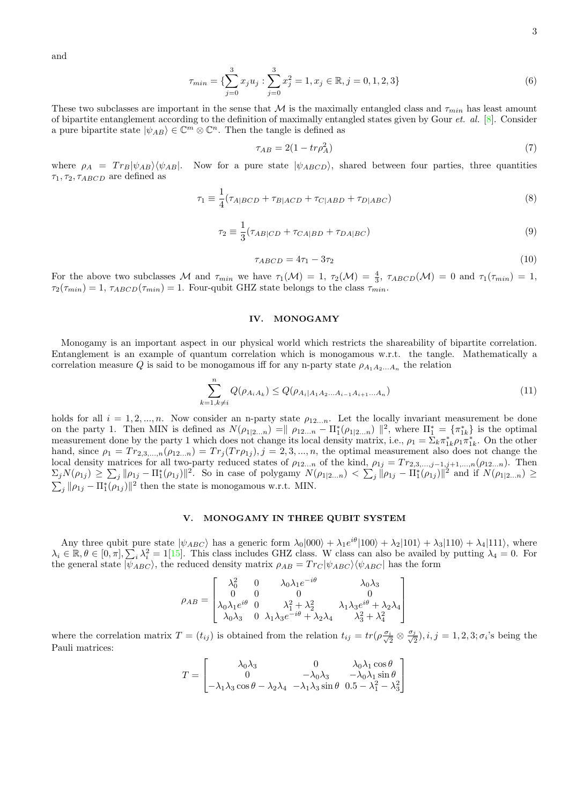and

$$
\tau_{min} = \{ \sum_{j=0}^{3} x_j u_j : \sum_{j=0}^{3} x_j^2 = 1, x_j \in \mathbb{R}, j = 0, 1, 2, 3 \}
$$
\n
$$
(6)
$$

These two subclasses are important in the sense that M is the maximally entangled class and  $\tau_{min}$  has least amount of bipartite entanglement according to the definition of maximally entangled states given by Gour  $et.$   $al.$   $[8]$ . Consider a pure bipartite state  $|\psi_{AB}\rangle \in \mathbb{C}^m \otimes \mathbb{C}^n$ . Then the tangle is defined as

$$
\tau_{AB} = 2(1 - tr\rho_A^2) \tag{7}
$$

where  $\rho_A = Tr_B|\psi_{AB}\rangle\langle\psi_{AB}|$ . Now for a pure state  $|\psi_{ABCD}\rangle$ , shared between four parties, three quantities  $\tau_1, \tau_2, \tau_{ABCD}$  are defined as

$$
\tau_1 \equiv \frac{1}{4} (\tau_{A|BCD} + \tau_{B|ACD} + \tau_{C|ABD} + \tau_{D|ABC}) \tag{8}
$$

$$
\tau_2 \equiv \frac{1}{3} (\tau_{AB|CD} + \tau_{CA|BD} + \tau_{DA|BC}) \tag{9}
$$

$$
\tau_{ABCD} = 4\tau_1 - 3\tau_2 \tag{10}
$$

For the above two subclasses M and  $\tau_{min}$  we have  $\tau_1(\mathcal{M}) = 1$ ,  $\tau_2(\mathcal{M}) = \frac{4}{3}$ ,  $\tau_{ABCD}(\mathcal{M}) = 0$  and  $\tau_1(\tau_{min}) = 1$ ,  $\tau_2(\tau_{min}) = 1$ ,  $\tau_{ABCD}(\tau_{min}) = 1$ . Four-qubit GHZ state belongs to the class  $\tau_{min}$ .

### IV. MONOGAMY

Monogamy is an important aspect in our physical world which restricts the shareability of bipartite correlation. Entanglement is an example of quantum correlation which is monogamous w.r.t. the tangle. Mathematically a correlation measure Q is said to be monogamous iff for any n-party state  $\rho_{A_1A_2...A_n}$  the relation

$$
\sum_{k=1,k\neq i}^{n} Q(\rho_{A_i A_k}) \leq Q(\rho_{A_i | A_1 A_2 \dots A_{i-1} A_{i+1} \dots A_n})
$$
\n(11)

holds for all  $i = 1, 2, ..., n$ . Now consider an n-party state  $\rho_{12...n}$ . Let the locally invariant measurement be done on the party 1. Then MIN is defined as  $N(\rho_{1|2...n}) = || \rho_{12...n} - \prod_{1}^{*}(\rho_{1|2...n}) ||^{2}$ , where  $\prod_{1}^{*} = {\pi_{1k}^{*}}$  is the optimal measurement done by the party 1 which does not change its local density matrix, i.e.,  $\rho_1 = \sum_k \pi_{1k}^* \rho_1 \pi_{1k}^*$ . On the other hand, since  $\rho_1 = Tr_{2,3,\dots,n}(\rho_{12...n}) = Tr_j(Tr \rho_{1j}), j = 2,3,\dots,n$ , the optimal measurement also does not change the local density matrices for all two-party reduced states of  $\rho_{12...n}$  of the kind,  $\rho_{1j} = Tr_{2,3,...,j-1,j+1,...,n}(\rho_{12...n})$ . Then  $\Sigma_j N(\rho_{1j}) \geq \sum_j \|\rho_{1j} - \Pi_1^*(\rho_{1j})\|^2$ . So in case of polygamy  $N(\rho_{1|2...n}) < \sum_j \|\rho_{1j} - \Pi_1^*(\rho_{1j})\|^2$  and if  $N(\rho_{1|2...n}) \geq$  $\sum_j \|\rho_{1j} - \Pi_1^*(\rho_{1j})\|^2$  then the state is monogamous w.r.t. MIN.

# V. MONOGAMY IN THREE QUBIT SYSTEM

Any three qubit pure state  $|\psi_{ABC}\rangle$  has a generic form  $\lambda_0|000\rangle + \lambda_1 e^{i\theta}|100\rangle + \lambda_2|101\rangle + \lambda_3|110\rangle + \lambda_4|111\rangle$ , where  $\lambda_i \in \mathbb{R}, \theta \in [0, \pi], \sum_i \lambda_i^2 = 1$ [\[15\]](#page-6-13). This class includes GHZ class. W class can also be availed by putting  $\lambda_4 = 0$ . For the general state  $|\psi_{ABC}\rangle$ , the reduced density matrix  $\rho_{AB} = Tr_C |\psi_{ABC}\rangle \langle \psi_{ABC} |$  has the form

$$
\rho_{AB} = \begin{bmatrix}\n\lambda_0^2 & 0 & \lambda_0 \lambda_1 e^{-i\theta} & \lambda_0 \lambda_3 \\
0 & 0 & 0 & 0 \\
\lambda_0 \lambda_1 e^{i\theta} & 0 & \lambda_1^2 + \lambda_2^2 & \lambda_1 \lambda_3 e^{i\theta} + \lambda_2 \lambda_4 \\
\lambda_0 \lambda_3 & 0 & \lambda_1 \lambda_3 e^{-i\theta} + \lambda_2 \lambda_4 & \lambda_3^2 + \lambda_4^2\n\end{bmatrix}
$$

where the correlation matrix  $T = (t_{ij})$  is obtained from the relation  $t_{ij} = tr(\rho \frac{\sigma_i}{\sqrt{2}} \otimes \frac{\sigma_j}{\sqrt{2}})$  $(\frac{j}{2}), i, j = 1, 2, 3; \sigma_i$ 's being the Pauli matrices:

$$
T = \begin{bmatrix} \lambda_0 \lambda_3 & 0 & \lambda_0 \lambda_1 \cos \theta \\ 0 & -\lambda_0 \lambda_3 & -\lambda_0 \lambda_1 \sin \theta \\ -\lambda_1 \lambda_3 \cos \theta - \lambda_2 \lambda_4 & -\lambda_1 \lambda_3 \sin \theta & 0.5 - \lambda_1^2 - \lambda_3^2 \end{bmatrix}
$$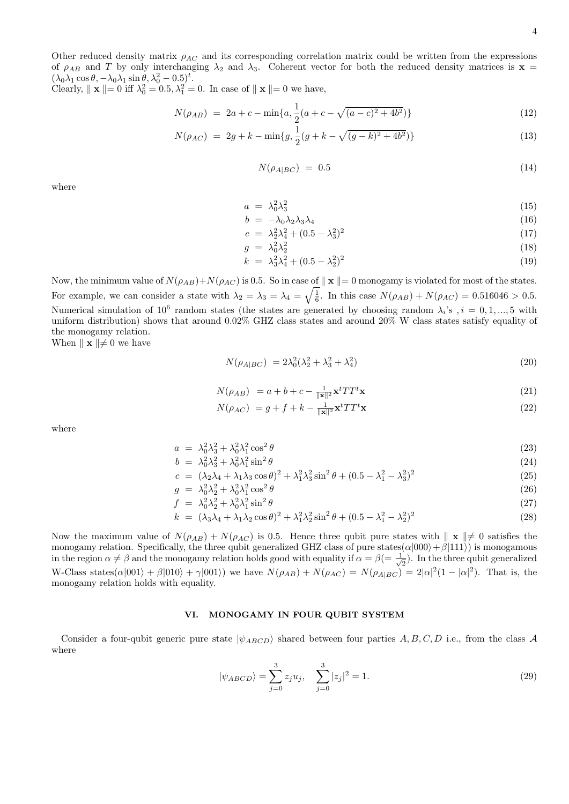Other reduced density matrix  $\rho_{AC}$  and its corresponding correlation matrix could be written from the expressions of  $\rho_{AB}$  and T by only interchanging  $\lambda_2$  and  $\lambda_3$ . Coherent vector for both the reduced density matrices is  $\mathbf{x} =$  $(\lambda_0 \lambda_1 \cos \theta, -\lambda_0 \lambda_1 \sin \theta, \lambda_0^2 - 0.5)^t$ .

Clearly,  $\|\mathbf{x}\| = 0$  iff  $\lambda_0^2 = 0.5, \lambda_1^2 = 0$ . In case of  $\|\mathbf{x}\| = 0$  we have,

$$
N(\rho_{AB}) = 2a + c - \min\{a, \frac{1}{2}(a + c - \sqrt{(a - c)^2 + 4b^2})\}
$$
\n(12)

$$
N(\rho_{AC}) = 2g + k - \min\{g, \frac{1}{2}(g + k - \sqrt{(g - k)^2 + 4b^2})\}\
$$
\n(13)

$$
N(\rho_{A|BC}) = 0.5 \tag{14}
$$

where

$$
a = \lambda_0^2 \lambda_3^2 \tag{15}
$$

$$
b = -\lambda_0 \lambda_2 \lambda_3 \lambda_4 \tag{16}
$$

$$
c = \lambda_2^2 \lambda_4^2 + (0.5 - \lambda_3^2)^2 \tag{17}
$$
\n
$$
c = \lambda_2^2 \lambda_3^2 + (0.5 - \lambda_3^2)^2 \tag{18}
$$

$$
g = \lambda_0^2 \lambda_2^2 \tag{18}
$$

$$
k = \lambda_3^2 \lambda_4^2 + (0.5 - \lambda_2^2)^2 \tag{19}
$$

Now, the minimum value of  $N(\rho_{AB})+N(\rho_{AC})$  is 0.5. So in case of  $||\mathbf{x}||=0$  monogamy is violated for most of the states. For example, we can consider a state with  $\lambda_2 = \lambda_3 = \lambda_4 = \sqrt{\frac{1}{6}}$ . In this case  $N(\rho_{AB}) + N(\rho_{AC}) = 0.516046 > 0.5$ . Numerical simulation of  $10^6$  random states (the states are generated by choosing random  $\lambda_i$ 's  $i = 0, 1, ..., 5$  with uniform distribution) shows that around 0.02% GHZ class states and around 20% W class states satisfy equality of the monogamy relation.

When  $\|\mathbf{x}\| \neq 0$  we have

$$
N(\rho_{A|BC}) = 2\lambda_0^2(\lambda_2^2 + \lambda_3^2 + \lambda_4^2)
$$
\n(20)

$$
N(\rho_{AB}) = a + b + c - \frac{1}{\|\mathbf{x}\|^2} \mathbf{x}^t T T^t \mathbf{x}
$$
\n<sup>(21)</sup>

$$
N(\rho_{AC}) = g + f + k - \frac{1}{\|\mathbf{x}\|^2} \mathbf{x}^t T T^t \mathbf{x}
$$
\n(22)

where

$$
a = \lambda_0^2 \lambda_3^2 + \lambda_0^2 \lambda_1^2 \cos^2 \theta \tag{23}
$$

$$
b = \lambda_0^2 \lambda_3^2 + \lambda_0^2 \lambda_1^2 \sin^2 \theta \tag{24}
$$

$$
c = (\lambda_2 \lambda_4 + \lambda_1 \lambda_3 \cos \theta)^2 + \lambda_1^2 \lambda_3^2 \sin^2 \theta + (0.5 - \lambda_1^2 - \lambda_3^2)^2 \tag{25}
$$

$$
g = \lambda_0^2 \lambda_2^2 + \lambda_0^2 \lambda_1^2 \cos^2 \theta \tag{26}
$$

$$
f = \lambda_0^2 \lambda_2^2 + \lambda_0^2 \lambda_1^2 \sin^2 \theta \tag{27}
$$

$$
k = (\lambda_3 \lambda_4 + \lambda_1 \lambda_2 \cos \theta)^2 + \lambda_1^2 \lambda_2^2 \sin^2 \theta + (0.5 - \lambda_1^2 - \lambda_2^2)^2 \tag{28}
$$

Now the maximum value of  $N(\rho_{AB}) + N(\rho_{AC})$  is 0.5. Hence three qubit pure states with  $\parallel \mathbf{x} \parallel \neq 0$  satisfies the monogamy relation. Specifically, the three qubit generalized GHZ class of pure states( $\alpha|000\rangle + \beta|111\rangle$ ) is monogamous in the region  $\alpha \neq \beta$  and the monogamy relation holds good with equality if  $\alpha = \beta = \frac{1}{\beta}$  $\overline{2}$ ). In the three qubit generalized W-Class states( $\alpha|001\rangle + \beta|010\rangle + \gamma|001\rangle$ ) we have  $N(\rho_{AB}) + N(\rho_{AC}) = N(\rho_{A|BC}) = 2|\alpha|^2(1 - |\alpha|^2)$ . That is, the monogamy relation holds with equality.

## VI. MONOGAMY IN FOUR QUBIT SYSTEM

Consider a four-qubit generic pure state  $|\psi_{ABCD}\rangle$  shared between four parties A, B, C, D i.e., from the class A where

$$
|\psi_{ABCD}\rangle = \sum_{j=0}^{3} z_j u_j, \quad \sum_{j=0}^{3} |z_j|^2 = 1.
$$
 (29)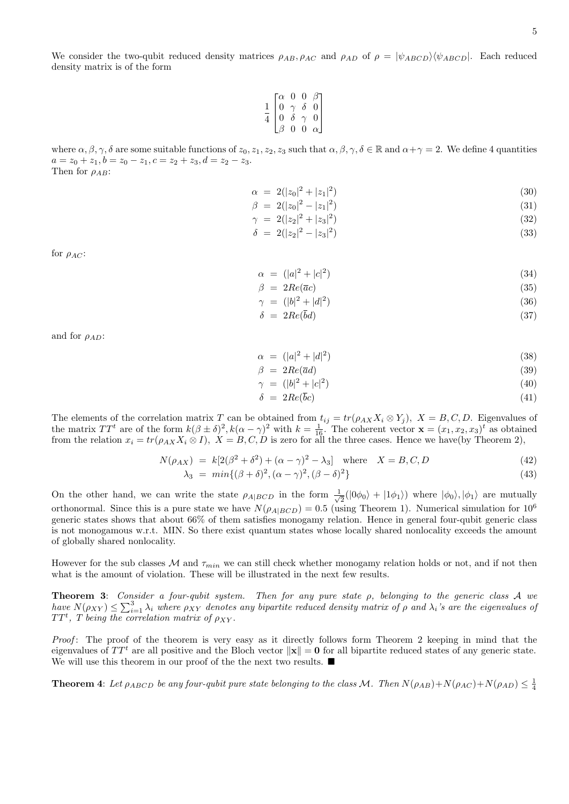We consider the two-qubit reduced density matrices  $\rho_{AB}$ ,  $\rho_{AC}$  and  $\rho_{AD}$  of  $\rho = |\psi_{ABCD}\rangle\langle\psi_{ABCD}|$ . Each reduced density matrix is of the form

|                |                                                  | 0                           | $\overline{0}$ | $\beta$ ٦      |  |
|----------------|--------------------------------------------------|-----------------------------|----------------|----------------|--|
| $\overline{1}$ | $\begin{bmatrix} \alpha \\ 0 \\ 0 \end{bmatrix}$ |                             | $\delta$       | $\bar{0}$      |  |
| $\overline{4}$ |                                                  | $\underset{\delta}{\gamma}$ | $\gamma$       | $\overline{0}$ |  |
|                | Iβ                                               | 0                           | 0              | $\alpha$       |  |

where  $\alpha, \beta, \gamma, \delta$  are some suitable functions of  $z_0, z_1, z_2, z_3$  such that  $\alpha, \beta, \gamma, \delta \in \mathbb{R}$  and  $\alpha + \gamma = 2$ . We define 4 quantities  $a = z_0 + z_1, b = z_0 - z_1, c = z_2 + z_3, d = z_2 - z_3.$ Then for  $\rho_{AB}$ :

$$
\alpha = 2(|z_0|^2 + |z_1|^2) \tag{30}
$$

$$
\beta = 2(|z_0|^2 - |z_1|^2) \tag{31}
$$

$$
\gamma = 2(|z_2|^2 + |z_3|^2) \tag{32}
$$

$$
\delta = 2(|z_2|^2 - |z_3|^2) \tag{33}
$$

for  $\rho_{AC}$ :

$$
\alpha = (|a|^2 + |c|^2) \tag{34}
$$

$$
\beta = 2Re(\overline{a}c) \tag{35}
$$

$$
\gamma = (|b|^2 + |d|^2) \tag{36}
$$

$$
\delta = 2Re(bd) \tag{37}
$$

and for  $\rho_{AD}$ :

$$
\alpha = (|a|^2 + |d|^2) \tag{38}
$$

$$
\beta = 2Re(\overline{a}d) \tag{39}
$$

$$
\gamma = (|b|^2 + |c|^2) \tag{40}
$$

$$
\delta = 2Re(\bar{b}c) \tag{41}
$$

The elements of the correlation matrix T can be obtained from  $t_{ij} = tr(\rho_{AX}X_i \otimes Y_j)$ ,  $X = B, C, D$ . Eigenvalues of the matrix  $TT^t$  are of the form  $k(\beta \pm \delta)^2$ ,  $k(\alpha - \gamma)^2$  with  $k = \frac{1}{16}$ . The coherent vector  $\mathbf{x} = (x_1, x_2, x_3)^t$  as obtained from the relation  $x_i = tr(\rho_{AX}X_i \otimes I), X = B, C, D$  is zero for all the three cases. Hence we have(by Theorem 2),

$$
N(\rho_{AX}) = k[2(\beta^2 + \delta^2) + (\alpha - \gamma)^2 - \lambda_3] \text{ where } X = B, C, D
$$
 (42)

$$
\lambda_3 = \min\{(\beta + \delta)^2, (\alpha - \gamma)^2, (\beta - \delta)^2\} \tag{43}
$$

On the other hand, we can write the state  $\rho_{A|BCD}$  in the form  $\frac{1}{\sqrt{2}}$  $\frac{1}{2}(|0\phi_0\rangle + |1\phi_1\rangle)$  where  $|\phi_0\rangle, |\phi_1\rangle$  are mutually orthonormal. Since this is a pure state we have  $N(\rho_{A|BCD}) = 0.5$  (using Theorem 1). Numerical simulation for  $10^6$ generic states shows that about 66% of them satisfies monogamy relation. Hence in general four-qubit generic class is not monogamous w.r.t. MIN. So there exist quantum states whose locally shared nonlocality exceeds the amount of globally shared nonlocality.

However for the sub classes  $M$  and  $\tau_{min}$  we can still check whether monogamy relation holds or not, and if not then what is the amount of violation. These will be illustrated in the next few results.

**Theorem 3:** Consider a four-qubit system. Then for any pure state  $\rho$ , belonging to the generic class A we have  $N(\rho_{XY}) \leq \sum_{i=1}^3 \lambda_i$  where  $\rho_{XY}$  denotes any bipartite reduced density matrix of  $\rho$  and  $\lambda_i$ 's are the eigenvalues of  $TT<sup>t</sup>$ , T being the correlation matrix of  $\rho_{XY}$ .

Proof: The proof of the theorem is very easy as it directly follows form Theorem 2 keeping in mind that the eigenvalues of  $TT<sup>t</sup>$  are all positive and the Bloch vector  $\|\mathbf{x}\| = \mathbf{0}$  for all bipartite reduced states of any generic state. We will use this theorem in our proof of the the next two results.  $\blacksquare$ 

**Theorem 4:** Let  $\rho_{ABCD}$  be any four-qubit pure state belonging to the class M. Then  $N(\rho_{AB})+N(\rho_{AC})+N(\rho_{AD}) \leq \frac{1}{4}$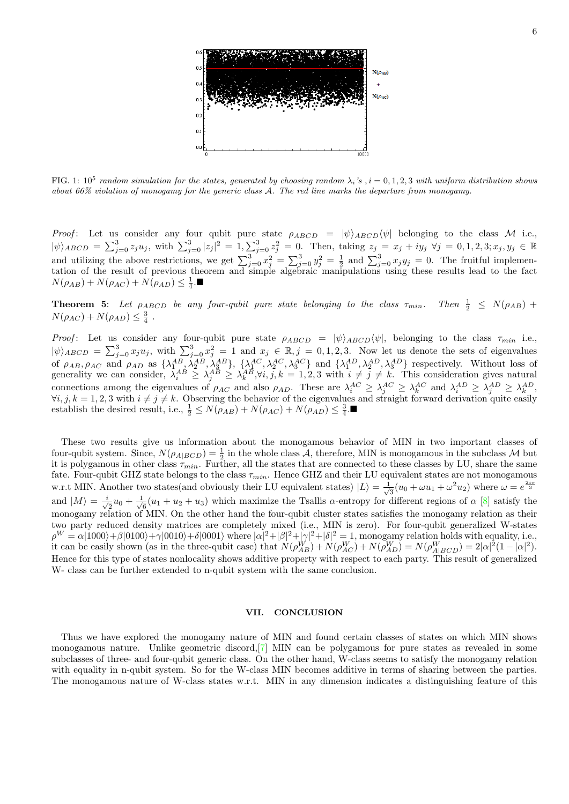

FIG. 1: 10<sup>5</sup> random simulation for the states, generated by choosing random  $\lambda_i$ 's, i = 0, 1, 2, 3 with uniform distribution shows about 66% violation of monogamy for the generic class A. The red line marks the departure from monogamy.

Proof: Let us consider any four qubit pure state  $\rho_{ABCD} = |\psi\rangle_{ABCD}\langle\psi|$  belonging to the class M i.e.,  $|\psi\rangle_{ABCD} = \sum_{j=0}^{3} z_j u_j$ , with  $\sum_{j=0}^{3} |z_j|^2 = 1, \sum_{j=0}^{3} z_j^2 = 0$ . Then, taking  $z_j = x_j + iy_j \ \forall j = 0, 1, 2, 3; x_j, y_j \in \mathbb{R}$ and utilizing the above restrictions, we get  $\sum_{j=0}^{3} x_j^2 = \sum_{j=0}^{3} y_j^2 = \frac{1}{2}$  and  $\sum_{j=0}^{3} x_j y_j = 0$ . The fruitful implementation of the result of previous theorem and simple algebraic manipulations using these results lead to the fact  $N(\rho_{AB})+N(\rho_{AC})+N(\rho_{AD})\leq \frac{1}{4}$ .

**Theorem 5:** Let  $\rho_{ABCD}$  be any four-qubit pure state belonging to the class  $\tau_{min}$ . Then  $\frac{1}{2} \leq N(\rho_{AB}) +$  $N(\rho_{AC}) + N(\rho_{AD}) \leq \frac{3}{4}.$ 

Proof: Let us consider any four-qubit pure state  $\rho_{ABCD} = |\psi\rangle_{ABCD}\langle\psi|$ , belonging to the class  $\tau_{min}$  i.e.,  $|\psi\rangle_{ABCD} = \sum_{j=0}^{3} x_j u_j$ , with  $\sum_{j=0}^{3} x_j^2 = 1$  and  $x_j \in \mathbb{R}, j = 0, 1, 2, 3$ . Now let us denote the sets of eigenvalues of  $\rho_{AB}, \rho_{AC}$  and  $\rho_{AD}$  as  $\{\lambda_1^{AB}, \lambda_2^{AB}, \lambda_3^{AB}\}, \{\lambda_1^{AC}, \lambda_2^{AC}, \lambda_3^{AC}\}\$  and  $\{\lambda_1^{AD}, \lambda_2^{AD}, \lambda_3^{AD}\}\$  respectively. Without loss of generality we can consider,  $\lambda_i^{AB} \geq \lambda_j^{AB} \geq \lambda_k^{AB}$ ,  $\forall i, j, k = 1, 2, 3$  with  $i \neq j \neq k$ . This consideration gives natural connections among the eigenvalues of  $\rho_{AC}$  and also  $\rho_{AD}$ . These are  $\lambda_i^{AC} \geq \lambda_j^{AC} \geq \lambda_k^{AC}$  and  $\lambda_i^{AD} \geq \lambda_j^{AD} \geq \lambda_k^{AD}$ ,  $\forall i, j, k = 1, 2, 3$  with  $i \neq j \neq k$ . Observing the behavior of the eigenvalues and straight forward derivation quite easily establish the desired result, i.e.,  $\frac{1}{2} \le N(\rho_{AB}) + N(\rho_{AC}) + N(\rho_{AD}) \le \frac{3}{4}$ .

These two results give us information about the monogamous behavior of MIN in two important classes of four-qubit system. Since,  $N(\rho_{A|BCD}) = \frac{1}{2}$  in the whole class A, therefore, MIN is monogamous in the subclass M but it is polygamous in other class  $\tau_{min}$ . Further, all the states that are connected to these classes by LU, share the same fate. Four-qubit GHZ state belongs to the class  $\tau_{min}$ . Hence GHZ and their LU equivalent states are not monogamous w.r.t MIN. Another two states(and obviously their LU equivalent states)  $|L\rangle = \frac{1}{\sqrt{2}}$  $\frac{1}{3}(u_0 + \omega u_1 + \omega^2 u_2)$  where  $\omega = e^{\frac{2i\pi}{3}}$ and  $|M\rangle = -\frac{i}{\sqrt{2}}$  $\frac{1}{2}u_0 + \frac{1}{\sqrt{2}}$  $\frac{1}{6}(u_1 + u_2 + u_3)$  which maximize the Tsallis  $\alpha$ -entropy for different regions of  $\alpha$  [\[8\]](#page-6-6) satisfy the monogamy relation of MIN. On the other hand the four-qubit cluster states satisfies the monogamy relation as their two party reduced density matrices are completely mixed (i.e., MIN is zero). For four-qubit generalized W-states  $\rho^W = \alpha |1000\rangle + \beta |0100\rangle + \gamma |0010\rangle + \delta |0001\rangle$  where  $|\alpha|^2 + |\beta|^2 + |\gamma|^2 + |\delta|^2 = 1$ , monogamy relation holds with equality, i.e., it can be easily shown (as in the three-qubit case) that  $N(\rho_{AB}^W) + N(\rho_{AC}^W) + N(\rho_{AD}^W) = N(\rho_{A|BCD}^W) = 2|\alpha|^2(1 - |\alpha|^2)$ . Hence for this type of states nonlocality shows additive property with respect to each party. This result of generalized W- class can be further extended to n-qubit system with the same conclusion.

#### VII. CONCLUSION

Thus we have explored the monogamy nature of MIN and found certain classes of states on which MIN shows monogamous nature. Unlike geometric discord,[\[7\]](#page-6-5) MIN can be polygamous for pure states as revealed in some subclasses of three- and four-qubit generic class. On the other hand, W-class seems to satisfy the monogamy relation with equality in n-qubit system. So for the W-class MIN becomes additive in terms of sharing between the parties. The monogamous nature of W-class states w.r.t. MIN in any dimension indicates a distinguishing feature of this